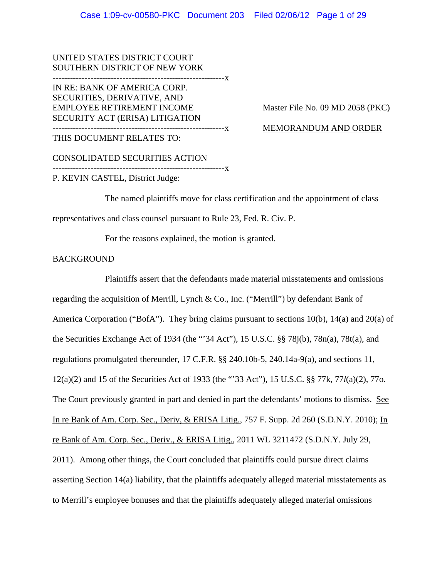UNITED STATES DISTRICT COURT SOUTHERN DISTRICT OF NEW YORK

-----------------------------------------------------------x

IN RE: BANK OF AMERICA CORP. SECURITIES, DERIVATIVE, AND EMPLOYEE RETIREMENT INCOME Master File No. 09 MD 2058 (PKC) SECURITY ACT (ERISA) LITIGATION -----------------------------------------------------------x MEMORANDUM AND ORDER

THIS DOCUMENT RELATES TO:

CONSOLIDATED SECURITIES ACTION -----------------------------------------------------------x P. KEVIN CASTEL, District Judge:

The named plaintiffs move for class certification and the appointment of class representatives and class counsel pursuant to Rule 23, Fed. R. Civ. P.

For the reasons explained, the motion is granted.

## BACKGROUND

Plaintiffs assert that the defendants made material misstatements and omissions regarding the acquisition of Merrill, Lynch & Co., Inc. ("Merrill") by defendant Bank of America Corporation ("BofA"). They bring claims pursuant to sections 10(b), 14(a) and 20(a) of the Securities Exchange Act of 1934 (the "'34 Act"), 15 U.S.C. §§ 78j(b), 78n(a), 78t(a), and regulations promulgated thereunder, 17 C.F.R. §§ 240.10b-5, 240.14a-9(a), and sections 11, 12(a)(2) and 15 of the Securities Act of 1933 (the "'33 Act"), 15 U.S.C. §§ 77k, 77*l*(a)(2), 77o. The Court previously granted in part and denied in part the defendants' motions to dismiss. See In re Bank of Am. Corp. Sec., Deriv, & ERISA Litig., 757 F. Supp. 2d 260 (S.D.N.Y. 2010); In re Bank of Am. Corp. Sec., Deriv., & ERISA Litig., 2011 WL 3211472 (S.D.N.Y. July 29, 2011). Among other things, the Court concluded that plaintiffs could pursue direct claims asserting Section 14(a) liability, that the plaintiffs adequately alleged material misstatements as to Merrill's employee bonuses and that the plaintiffs adequately alleged material omissions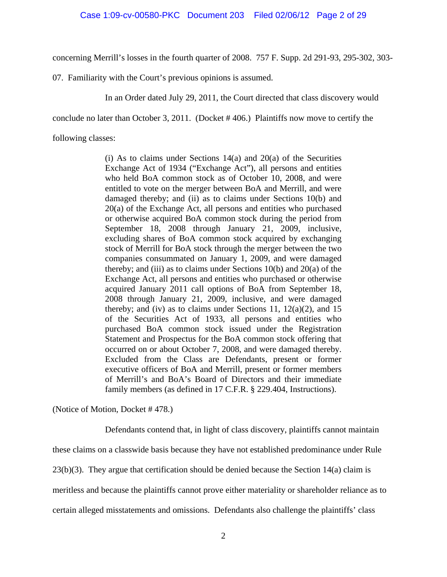concerning Merrill's losses in the fourth quarter of 2008. 757 F. Supp. 2d 291-93, 295-302, 303-

07. Familiarity with the Court's previous opinions is assumed.

In an Order dated July 29, 2011, the Court directed that class discovery would

conclude no later than October 3, 2011. (Docket # 406.) Plaintiffs now move to certify the

following classes:

(i) As to claims under Sections  $14(a)$  and  $20(a)$  of the Securities Exchange Act of 1934 ("Exchange Act"), all persons and entities who held BoA common stock as of October 10, 2008, and were entitled to vote on the merger between BoA and Merrill, and were damaged thereby; and (ii) as to claims under Sections 10(b) and 20(a) of the Exchange Act, all persons and entities who purchased or otherwise acquired BoA common stock during the period from September 18, 2008 through January 21, 2009, inclusive, excluding shares of BoA common stock acquired by exchanging stock of Merrill for BoA stock through the merger between the two companies consummated on January 1, 2009, and were damaged thereby; and (iii) as to claims under Sections  $10(b)$  and  $20(a)$  of the Exchange Act, all persons and entities who purchased or otherwise acquired January 2011 call options of BoA from September 18, 2008 through January 21, 2009, inclusive, and were damaged thereby; and (iv) as to claims under Sections 11,  $12(a)(2)$ , and 15 of the Securities Act of 1933, all persons and entities who purchased BoA common stock issued under the Registration Statement and Prospectus for the BoA common stock offering that occurred on or about October 7, 2008, and were damaged thereby. Excluded from the Class are Defendants, present or former executive officers of BoA and Merrill, present or former members of Merrill's and BoA's Board of Directors and their immediate family members (as defined in 17 C.F.R. § 229.404, Instructions).

(Notice of Motion, Docket # 478.)

Defendants contend that, in light of class discovery, plaintiffs cannot maintain

these claims on a classwide basis because they have not established predominance under Rule

23(b)(3). They argue that certification should be denied because the Section 14(a) claim is

meritless and because the plaintiffs cannot prove either materiality or shareholder reliance as to

certain alleged misstatements and omissions. Defendants also challenge the plaintiffs' class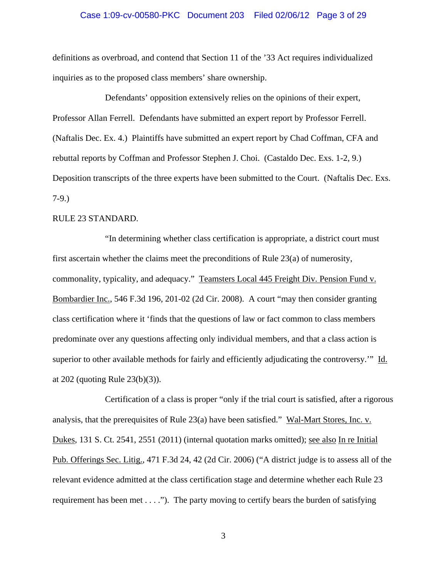## Case 1:09-cv-00580-PKC Document 203 Filed 02/06/12 Page 3 of 29

definitions as overbroad, and contend that Section 11 of the '33 Act requires individualized inquiries as to the proposed class members' share ownership.

Defendants' opposition extensively relies on the opinions of their expert, Professor Allan Ferrell. Defendants have submitted an expert report by Professor Ferrell. (Naftalis Dec. Ex. 4.) Plaintiffs have submitted an expert report by Chad Coffman, CFA and rebuttal reports by Coffman and Professor Stephen J. Choi. (Castaldo Dec. Exs. 1-2, 9.) Deposition transcripts of the three experts have been submitted to the Court. (Naftalis Dec. Exs. 7-9.)

## RULE 23 STANDARD.

"In determining whether class certification is appropriate, a district court must first ascertain whether the claims meet the preconditions of Rule 23(a) of numerosity, commonality, typicality, and adequacy." Teamsters Local 445 Freight Div. Pension Fund v. Bombardier Inc., 546 F.3d 196, 201-02 (2d Cir. 2008). A court "may then consider granting class certification where it 'finds that the questions of law or fact common to class members predominate over any questions affecting only individual members, and that a class action is superior to other available methods for fairly and efficiently adjudicating the controversy.'" Id. at 202 (quoting Rule 23(b)(3)).

Certification of a class is proper "only if the trial court is satisfied, after a rigorous analysis, that the prerequisites of Rule 23(a) have been satisfied." Wal-Mart Stores, Inc. v. Dukes, 131 S. Ct. 2541, 2551 (2011) (internal quotation marks omitted); see also In re Initial Pub. Offerings Sec. Litig., 471 F.3d 24, 42 (2d Cir. 2006) ("A district judge is to assess all of the relevant evidence admitted at the class certification stage and determine whether each Rule 23 requirement has been met  $\dots$ ."). The party moving to certify bears the burden of satisfying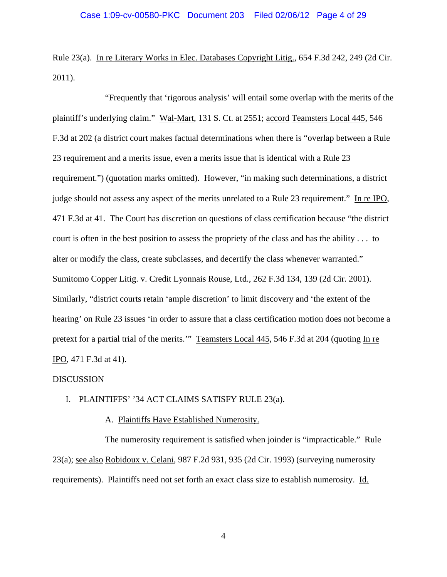Rule 23(a). In re Literary Works in Elec. Databases Copyright Litig., 654 F.3d 242, 249 (2d Cir. 2011).

"Frequently that 'rigorous analysis' will entail some overlap with the merits of the plaintiff's underlying claim." Wal-Mart, 131 S. Ct. at 2551; accord Teamsters Local 445, 546 F.3d at 202 (a district court makes factual determinations when there is "overlap between a Rule 23 requirement and a merits issue, even a merits issue that is identical with a Rule 23 requirement.") (quotation marks omitted). However, "in making such determinations, a district judge should not assess any aspect of the merits unrelated to a Rule 23 requirement." In re IPO, 471 F.3d at 41. The Court has discretion on questions of class certification because "the district court is often in the best position to assess the propriety of the class and has the ability . . . to alter or modify the class, create subclasses, and decertify the class whenever warranted." Sumitomo Copper Litig. v. Credit Lyonnais Rouse, Ltd., 262 F.3d 134, 139 (2d Cir. 2001). Similarly, "district courts retain 'ample discretion' to limit discovery and 'the extent of the hearing' on Rule 23 issues 'in order to assure that a class certification motion does not become a pretext for a partial trial of the merits."" Teamsters Local 445, 546 F.3d at 204 (quoting In re IPO, 471 F.3d at 41).

#### DISCUSSION

## I. PLAINTIFFS' '34 ACT CLAIMS SATISFY RULE 23(a).

## A. Plaintiffs Have Established Numerosity.

The numerosity requirement is satisfied when joinder is "impracticable." Rule 23(a); see also Robidoux v. Celani, 987 F.2d 931, 935 (2d Cir. 1993) (surveying numerosity requirements). Plaintiffs need not set forth an exact class size to establish numerosity. Id.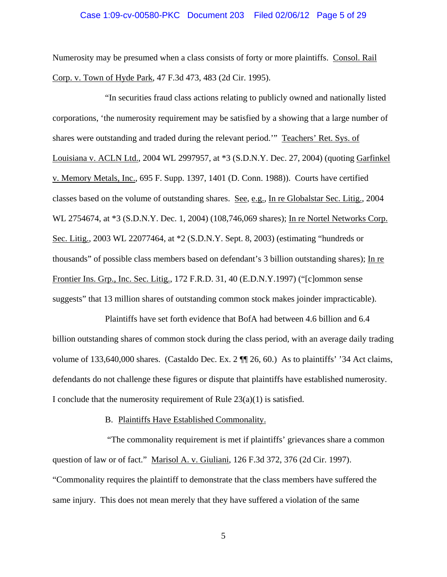## Case 1:09-cv-00580-PKC Document 203 Filed 02/06/12 Page 5 of 29

Numerosity may be presumed when a class consists of forty or more plaintiffs. Consol. Rail Corp. v. Town of Hyde Park, 47 F.3d 473, 483 (2d Cir. 1995).

"In securities fraud class actions relating to publicly owned and nationally listed corporations, 'the numerosity requirement may be satisfied by a showing that a large number of shares were outstanding and traded during the relevant period.'" Teachers' Ret. Sys. of Louisiana v. ACLN Ltd., 2004 WL 2997957, at \*3 (S.D.N.Y. Dec. 27, 2004) (quoting Garfinkel v. Memory Metals, Inc., 695 F. Supp. 1397, 1401 (D. Conn. 1988)). Courts have certified classes based on the volume of outstanding shares. See, e.g., In re Globalstar Sec. Litig., 2004 WL 2754674, at \*3 (S.D.N.Y. Dec. 1, 2004) (108,746,069 shares); In re Nortel Networks Corp. Sec. Litig., 2003 WL 22077464, at \*2 (S.D.N.Y. Sept. 8, 2003) (estimating "hundreds or thousands" of possible class members based on defendant's 3 billion outstanding shares); In re Frontier Ins. Grp., Inc. Sec. Litig., 172 F.R.D. 31, 40 (E.D.N.Y.1997) ("[c]ommon sense suggests" that 13 million shares of outstanding common stock makes joinder impracticable).

Plaintiffs have set forth evidence that BofA had between 4.6 billion and 6.4 billion outstanding shares of common stock during the class period, with an average daily trading volume of 133,640,000 shares. (Castaldo Dec. Ex. 2 ¶¶ 26, 60.) As to plaintiffs' '34 Act claims, defendants do not challenge these figures or dispute that plaintiffs have established numerosity. I conclude that the numerosity requirement of Rule  $23(a)(1)$  is satisfied.

## B. Plaintiffs Have Established Commonality.

 "The commonality requirement is met if plaintiffs' grievances share a common question of law or of fact." Marisol A. v. Giuliani, 126 F.3d 372, 376 (2d Cir. 1997). "Commonality requires the plaintiff to demonstrate that the class members have suffered the same injury. This does not mean merely that they have suffered a violation of the same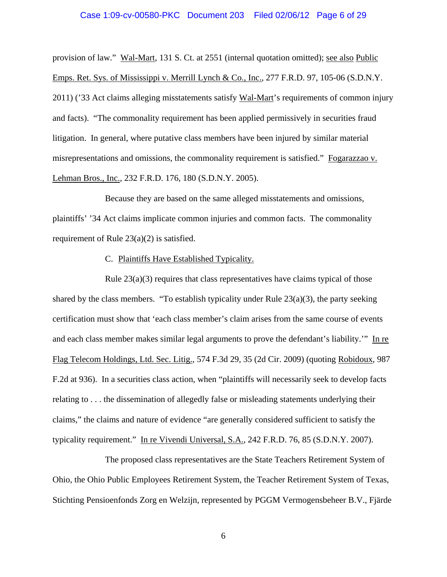## Case 1:09-cv-00580-PKC Document 203 Filed 02/06/12 Page 6 of 29

provision of law." Wal-Mart, 131 S. Ct. at 2551 (internal quotation omitted); see also Public Emps. Ret. Sys. of Mississippi v. Merrill Lynch & Co., Inc., 277 F.R.D. 97, 105-06 (S.D.N.Y. 2011) ('33 Act claims alleging misstatements satisfy Wal-Mart's requirements of common injury and facts). "The commonality requirement has been applied permissively in securities fraud litigation. In general, where putative class members have been injured by similar material misrepresentations and omissions, the commonality requirement is satisfied." Fogarazzao v. Lehman Bros., Inc., 232 F.R.D. 176, 180 (S.D.N.Y. 2005).

Because they are based on the same alleged misstatements and omissions, plaintiffs' '34 Act claims implicate common injuries and common facts. The commonality requirement of Rule 23(a)(2) is satisfied.

## C. Plaintiffs Have Established Typicality.

Rule  $23(a)(3)$  requires that class representatives have claims typical of those shared by the class members. "To establish typicality under Rule  $23(a)(3)$ , the party seeking certification must show that 'each class member's claim arises from the same course of events and each class member makes similar legal arguments to prove the defendant's liability.'" In re Flag Telecom Holdings, Ltd. Sec. Litig., 574 F.3d 29, 35 (2d Cir. 2009) (quoting Robidoux, 987 F.2d at 936). In a securities class action, when "plaintiffs will necessarily seek to develop facts relating to . . . the dissemination of allegedly false or misleading statements underlying their claims," the claims and nature of evidence "are generally considered sufficient to satisfy the typicality requirement." In re Vivendi Universal, S.A., 242 F.R.D. 76, 85 (S.D.N.Y. 2007).

The proposed class representatives are the State Teachers Retirement System of Ohio, the Ohio Public Employees Retirement System, the Teacher Retirement System of Texas, Stichting Pensioenfonds Zorg en Welzijn, represented by PGGM Vermogensbeheer B.V., Fjärde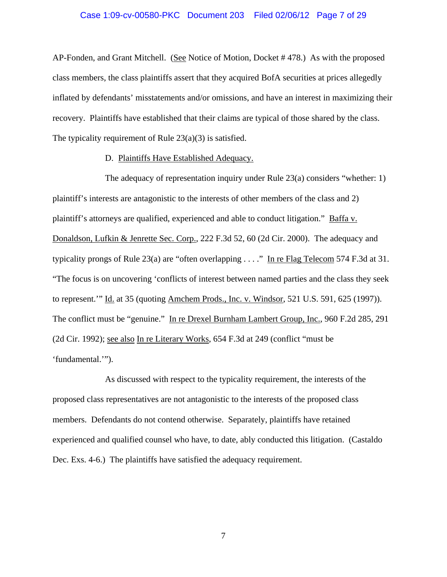## Case 1:09-cv-00580-PKC Document 203 Filed 02/06/12 Page 7 of 29

AP-Fonden, and Grant Mitchell. (See Notice of Motion, Docket # 478.) As with the proposed class members, the class plaintiffs assert that they acquired BofA securities at prices allegedly inflated by defendants' misstatements and/or omissions, and have an interest in maximizing their recovery. Plaintiffs have established that their claims are typical of those shared by the class. The typicality requirement of Rule 23(a)(3) is satisfied.

## D. Plaintiffs Have Established Adequacy.

The adequacy of representation inquiry under Rule 23(a) considers "whether: 1) plaintiff's interests are antagonistic to the interests of other members of the class and 2) plaintiff's attorneys are qualified, experienced and able to conduct litigation." Baffa v. Donaldson, Lufkin & Jenrette Sec. Corp., 222 F.3d 52, 60 (2d Cir. 2000). The adequacy and typicality prongs of Rule 23(a) are "often overlapping . . . ." In re Flag Telecom 574 F.3d at 31. "The focus is on uncovering 'conflicts of interest between named parties and the class they seek to represent.'" Id. at 35 (quoting Amchem Prods., Inc. v. Windsor, 521 U.S. 591, 625 (1997)). The conflict must be "genuine." In re Drexel Burnham Lambert Group, Inc., 960 F.2d 285, 291 (2d Cir. 1992); see also In re Literary Works, 654 F.3d at 249 (conflict "must be 'fundamental.'").

As discussed with respect to the typicality requirement, the interests of the proposed class representatives are not antagonistic to the interests of the proposed class members. Defendants do not contend otherwise. Separately, plaintiffs have retained experienced and qualified counsel who have, to date, ably conducted this litigation. (Castaldo Dec. Exs. 4-6.) The plaintiffs have satisfied the adequacy requirement.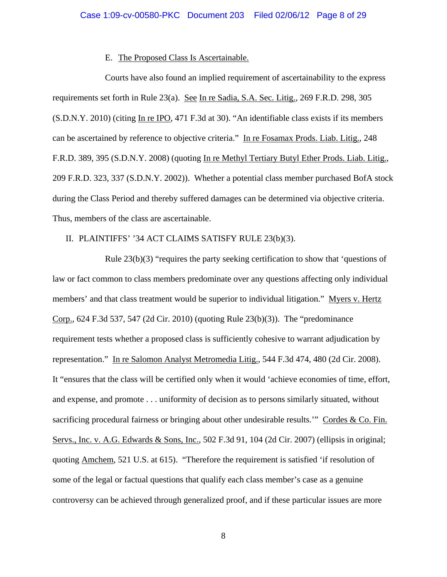#### E. The Proposed Class Is Ascertainable.

Courts have also found an implied requirement of ascertainability to the express requirements set forth in Rule 23(a). See In re Sadia, S.A. Sec. Litig., 269 F.R.D. 298, 305 (S.D.N.Y. 2010) (citing In re IPO, 471 F.3d at 30). "An identifiable class exists if its members can be ascertained by reference to objective criteria." In re Fosamax Prods. Liab. Litig., 248 F.R.D. 389, 395 (S.D.N.Y. 2008) (quoting In re Methyl Tertiary Butyl Ether Prods. Liab. Litig., 209 F.R.D. 323, 337 (S.D.N.Y. 2002)). Whether a potential class member purchased BofA stock during the Class Period and thereby suffered damages can be determined via objective criteria. Thus, members of the class are ascertainable.

## II. PLAINTIFFS' '34 ACT CLAIMS SATISFY RULE 23(b)(3).

Rule  $23(b)(3)$  "requires the party seeking certification to show that 'questions of law or fact common to class members predominate over any questions affecting only individual members' and that class treatment would be superior to individual litigation." Myers v. Hertz Corp., 624 F.3d 537, 547 (2d Cir. 2010) (quoting Rule 23(b)(3)). The "predominance requirement tests whether a proposed class is sufficiently cohesive to warrant adjudication by representation." In re Salomon Analyst Metromedia Litig., 544 F.3d 474, 480 (2d Cir. 2008). It "ensures that the class will be certified only when it would 'achieve economies of time, effort, and expense, and promote . . . uniformity of decision as to persons similarly situated, without sacrificing procedural fairness or bringing about other undesirable results." Cordes  $& Co. Fin.$ Servs., Inc. v. A.G. Edwards & Sons, Inc., 502 F.3d 91, 104 (2d Cir. 2007) (ellipsis in original; quoting Amchem, 521 U.S. at 615). "Therefore the requirement is satisfied 'if resolution of some of the legal or factual questions that qualify each class member's case as a genuine controversy can be achieved through generalized proof, and if these particular issues are more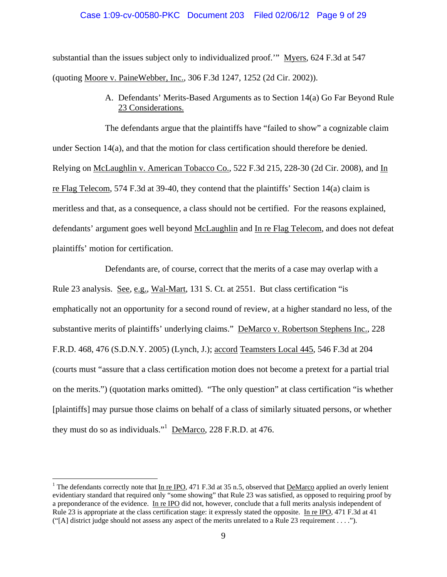## Case 1:09-cv-00580-PKC Document 203 Filed 02/06/12 Page 9 of 29

substantial than the issues subject only to individualized proof." Myers, 624 F.3d at 547 (quoting Moore v. PaineWebber, Inc., 306 F.3d 1247, 1252 (2d Cir. 2002)).

> A. Defendants' Merits-Based Arguments as to Section 14(a) Go Far Beyond Rule 23 Considerations.

The defendants argue that the plaintiffs have "failed to show" a cognizable claim under Section 14(a), and that the motion for class certification should therefore be denied. Relying on McLaughlin v. American Tobacco Co., 522 F.3d 215, 228-30 (2d Cir. 2008), and In re Flag Telecom, 574 F.3d at 39-40, they contend that the plaintiffs' Section 14(a) claim is meritless and that, as a consequence, a class should not be certified. For the reasons explained, defendants' argument goes well beyond McLaughlin and In re Flag Telecom, and does not defeat plaintiffs' motion for certification.

Defendants are, of course, correct that the merits of a case may overlap with a Rule 23 analysis. See, e.g., Wal-Mart, 131 S. Ct. at 2551. But class certification "is emphatically not an opportunity for a second round of review, at a higher standard no less, of the substantive merits of plaintiffs' underlying claims." DeMarco v. Robertson Stephens Inc., 228 F.R.D. 468, 476 (S.D.N.Y. 2005) (Lynch, J.); accord Teamsters Local 445, 546 F.3d at 204 (courts must "assure that a class certification motion does not become a pretext for a partial trial on the merits.") (quotation marks omitted). "The only question" at class certification "is whether [plaintiffs] may pursue those claims on behalf of a class of similarly situated persons, or whether they must do so as individuals."<sup>1</sup> DeMarco, 228 F.R.D. at 476.

 $\overline{a}$ 

<sup>&</sup>lt;sup>1</sup> The defendants correctly note that  $In re IPC$ , 471 F.3d at 35 n.5, observed that  $DeMarco$  applied an overly lenient</u></u> evidentiary standard that required only "some showing" that Rule 23 was satisfied, as opposed to requiring proof by a preponderance of the evidence. In re IPO did not, however, conclude that a full merits analysis independent of Rule 23 is appropriate at the class certification stage: it expressly stated the opposite. In re IPO, 471 F.3d at 41 ("[A] district judge should not assess any aspect of the merits unrelated to a Rule 23 requirement . . . .").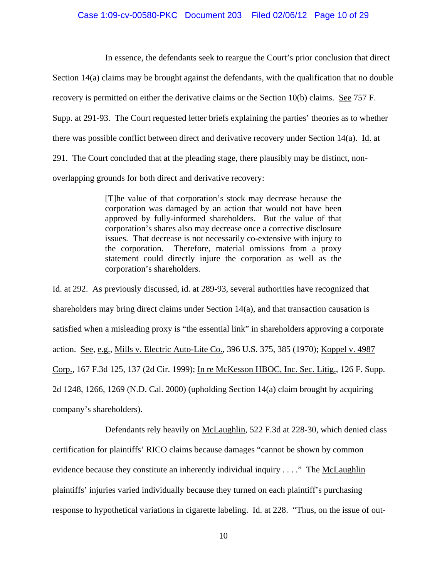In essence, the defendants seek to reargue the Court's prior conclusion that direct Section 14(a) claims may be brought against the defendants, with the qualification that no double recovery is permitted on either the derivative claims or the Section 10(b) claims. See 757 F. Supp. at 291-93. The Court requested letter briefs explaining the parties' theories as to whether there was possible conflict between direct and derivative recovery under Section 14(a). Id. at 291. The Court concluded that at the pleading stage, there plausibly may be distinct, nonoverlapping grounds for both direct and derivative recovery:

> [T]he value of that corporation's stock may decrease because the corporation was damaged by an action that would not have been approved by fully-informed shareholders. But the value of that corporation's shares also may decrease once a corrective disclosure issues. That decrease is not necessarily co-extensive with injury to the corporation. Therefore, material omissions from a proxy statement could directly injure the corporation as well as the corporation's shareholders.

Id. at 292. As previously discussed, id. at 289-93, several authorities have recognized that shareholders may bring direct claims under Section 14(a), and that transaction causation is satisfied when a misleading proxy is "the essential link" in shareholders approving a corporate action. See, e.g., Mills v. Electric Auto-Lite Co., 396 U.S. 375, 385 (1970); Koppel v. 4987 Corp., 167 F.3d 125, 137 (2d Cir. 1999); In re McKesson HBOC, Inc. Sec. Litig., 126 F. Supp. 2d 1248, 1266, 1269 (N.D. Cal. 2000) (upholding Section 14(a) claim brought by acquiring company's shareholders).

Defendants rely heavily on McLaughlin, 522 F.3d at 228-30, which denied class certification for plaintiffs' RICO claims because damages "cannot be shown by common evidence because they constitute an inherently individual inquiry . . . ." The McLaughlin plaintiffs' injuries varied individually because they turned on each plaintiff's purchasing response to hypothetical variations in cigarette labeling. Id. at 228. "Thus, on the issue of out-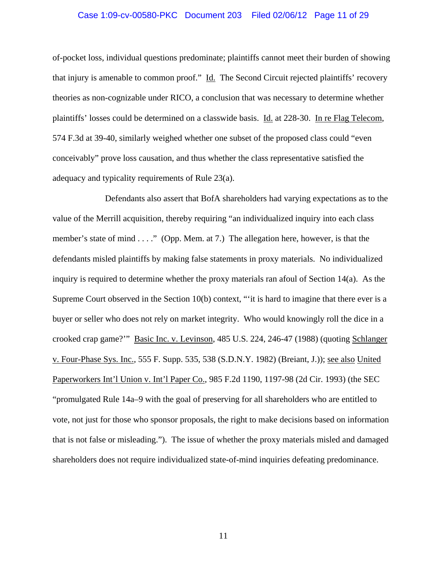## Case 1:09-cv-00580-PKC Document 203 Filed 02/06/12 Page 11 of 29

of-pocket loss, individual questions predominate; plaintiffs cannot meet their burden of showing that injury is amenable to common proof." Id. The Second Circuit rejected plaintiffs' recovery theories as non-cognizable under RICO, a conclusion that was necessary to determine whether plaintiffs' losses could be determined on a classwide basis. Id. at 228-30. In re Flag Telecom, 574 F.3d at 39-40, similarly weighed whether one subset of the proposed class could "even conceivably" prove loss causation, and thus whether the class representative satisfied the adequacy and typicality requirements of Rule 23(a).

Defendants also assert that BofA shareholders had varying expectations as to the value of the Merrill acquisition, thereby requiring "an individualized inquiry into each class member's state of mind . . . ." (Opp. Mem. at 7.) The allegation here, however, is that the defendants misled plaintiffs by making false statements in proxy materials. No individualized inquiry is required to determine whether the proxy materials ran afoul of Section 14(a). As the Supreme Court observed in the Section 10(b) context, "'it is hard to imagine that there ever is a buyer or seller who does not rely on market integrity. Who would knowingly roll the dice in a crooked crap game?'" Basic Inc. v. Levinson, 485 U.S. 224, 246-47 (1988) (quoting Schlanger v. Four-Phase Sys. Inc., 555 F. Supp. 535, 538 (S.D.N.Y. 1982) (Breiant, J.)); see also United Paperworkers Int'l Union v. Int'l Paper Co., 985 F.2d 1190, 1197-98 (2d Cir. 1993) (the SEC "promulgated Rule 14a–9 with the goal of preserving for all shareholders who are entitled to vote, not just for those who sponsor proposals, the right to make decisions based on information that is not false or misleading."). The issue of whether the proxy materials misled and damaged shareholders does not require individualized state-of-mind inquiries defeating predominance.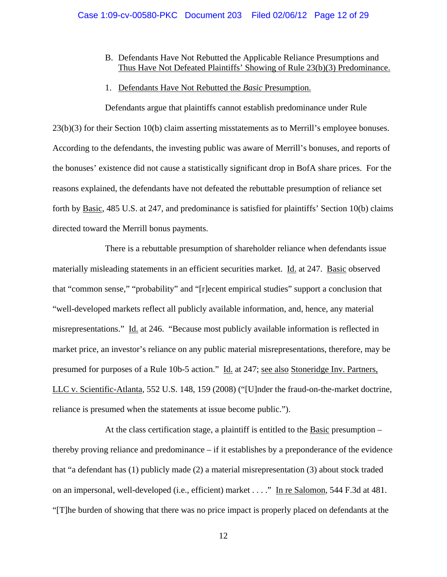# B. Defendants Have Not Rebutted the Applicable Reliance Presumptions and Thus Have Not Defeated Plaintiffs' Showing of Rule 23(b)(3) Predominance.

## 1. Defendants Have Not Rebutted the *Basic* Presumption.

Defendants argue that plaintiffs cannot establish predominance under Rule 23(b)(3) for their Section 10(b) claim asserting misstatements as to Merrill's employee bonuses. According to the defendants, the investing public was aware of Merrill's bonuses, and reports of the bonuses' existence did not cause a statistically significant drop in BofA share prices. For the reasons explained, the defendants have not defeated the rebuttable presumption of reliance set forth by Basic, 485 U.S. at 247, and predominance is satisfied for plaintiffs' Section 10(b) claims directed toward the Merrill bonus payments.

There is a rebuttable presumption of shareholder reliance when defendants issue materially misleading statements in an efficient securities market. Id. at 247. Basic observed that "common sense," "probability" and "[r]ecent empirical studies" support a conclusion that "well-developed markets reflect all publicly available information, and, hence, any material misrepresentations." Id. at 246. "Because most publicly available information is reflected in market price, an investor's reliance on any public material misrepresentations, therefore, may be presumed for purposes of a Rule 10b-5 action." Id. at 247; see also Stoneridge Inv. Partners, LLC v. Scientific-Atlanta, 552 U.S. 148, 159 (2008) ("[U]nder the fraud-on-the-market doctrine, reliance is presumed when the statements at issue become public.").

At the class certification stage, a plaintiff is entitled to the Basic presumption – thereby proving reliance and predominance – if it establishes by a preponderance of the evidence that "a defendant has (1) publicly made (2) a material misrepresentation (3) about stock traded on an impersonal, well-developed (i.e., efficient) market . . . ." In re Salomon, 544 F.3d at 481. "[T]he burden of showing that there was no price impact is properly placed on defendants at the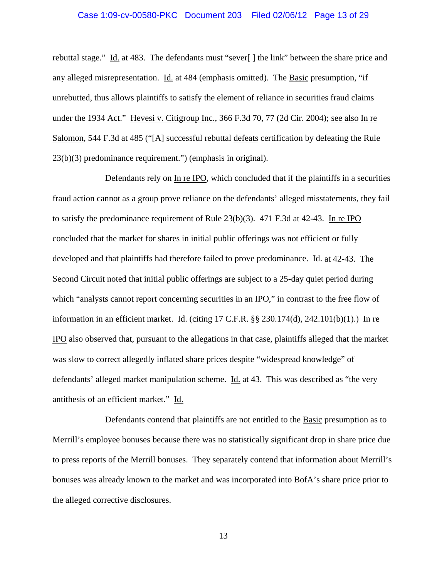## Case 1:09-cv-00580-PKC Document 203 Filed 02/06/12 Page 13 of 29

rebuttal stage." Id. at 483. The defendants must "sever[ ] the link" between the share price and any alleged misrepresentation. Id. at 484 (emphasis omitted). The Basic presumption, "if unrebutted, thus allows plaintiffs to satisfy the element of reliance in securities fraud claims under the 1934 Act." Hevesi v. Citigroup Inc., 366 F.3d 70, 77 (2d Cir. 2004); see also In re Salomon, 544 F.3d at 485 ("[A] successful rebuttal defeats certification by defeating the Rule 23(b)(3) predominance requirement.") (emphasis in original).

Defendants rely on In re IPO, which concluded that if the plaintiffs in a securities fraud action cannot as a group prove reliance on the defendants' alleged misstatements, they fail to satisfy the predominance requirement of Rule 23(b)(3). 471 F.3d at 42-43. In re IPO concluded that the market for shares in initial public offerings was not efficient or fully developed and that plaintiffs had therefore failed to prove predominance. Id. at 42-43. The Second Circuit noted that initial public offerings are subject to a 25-day quiet period during which "analysts cannot report concerning securities in an IPO," in contrast to the free flow of information in an efficient market. Id. (citing  $17$  C.F.R. §§  $230.174(d)$ ,  $242.101(b)(1)$ .) In re IPO also observed that, pursuant to the allegations in that case, plaintiffs alleged that the market was slow to correct allegedly inflated share prices despite "widespread knowledge" of defendants' alleged market manipulation scheme. Id. at 43. This was described as "the very antithesis of an efficient market." Id.

Defendants contend that plaintiffs are not entitled to the Basic presumption as to Merrill's employee bonuses because there was no statistically significant drop in share price due to press reports of the Merrill bonuses. They separately contend that information about Merrill's bonuses was already known to the market and was incorporated into BofA's share price prior to the alleged corrective disclosures.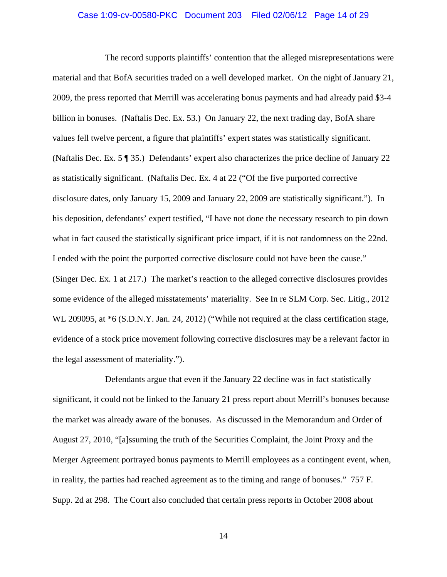## Case 1:09-cv-00580-PKC Document 203 Filed 02/06/12 Page 14 of 29

The record supports plaintiffs' contention that the alleged misrepresentations were material and that BofA securities traded on a well developed market. On the night of January 21, 2009, the press reported that Merrill was accelerating bonus payments and had already paid \$3-4 billion in bonuses. (Naftalis Dec. Ex. 53.) On January 22, the next trading day, BofA share values fell twelve percent, a figure that plaintiffs' expert states was statistically significant. (Naftalis Dec. Ex. 5 ¶ 35.) Defendants' expert also characterizes the price decline of January 22 as statistically significant. (Naftalis Dec. Ex. 4 at 22 ("Of the five purported corrective disclosure dates, only January 15, 2009 and January 22, 2009 are statistically significant."). In his deposition, defendants' expert testified, "I have not done the necessary research to pin down what in fact caused the statistically significant price impact, if it is not randomness on the 22nd. I ended with the point the purported corrective disclosure could not have been the cause." (Singer Dec. Ex. 1 at 217.) The market's reaction to the alleged corrective disclosures provides some evidence of the alleged misstatements' materiality. See In re SLM Corp. Sec. Litig., 2012 WL 209095, at \*6 (S.D.N.Y. Jan. 24, 2012) ("While not required at the class certification stage, evidence of a stock price movement following corrective disclosures may be a relevant factor in the legal assessment of materiality.").

Defendants argue that even if the January 22 decline was in fact statistically significant, it could not be linked to the January 21 press report about Merrill's bonuses because the market was already aware of the bonuses. As discussed in the Memorandum and Order of August 27, 2010, "[a]ssuming the truth of the Securities Complaint, the Joint Proxy and the Merger Agreement portrayed bonus payments to Merrill employees as a contingent event, when, in reality, the parties had reached agreement as to the timing and range of bonuses." 757 F. Supp. 2d at 298. The Court also concluded that certain press reports in October 2008 about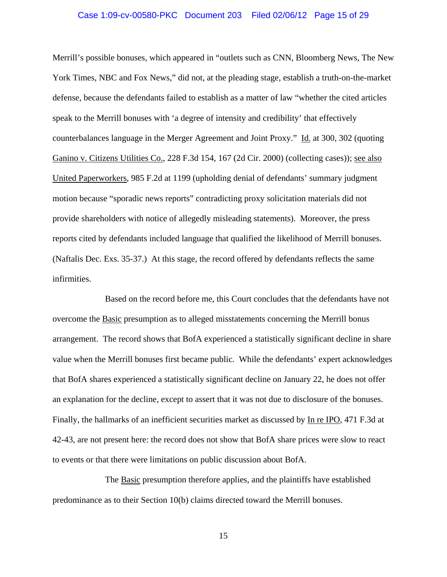## Case 1:09-cv-00580-PKC Document 203 Filed 02/06/12 Page 15 of 29

Merrill's possible bonuses, which appeared in "outlets such as CNN, Bloomberg News, The New York Times, NBC and Fox News," did not, at the pleading stage, establish a truth-on-the-market defense, because the defendants failed to establish as a matter of law "whether the cited articles speak to the Merrill bonuses with 'a degree of intensity and credibility' that effectively counterbalances language in the Merger Agreement and Joint Proxy." Id. at 300, 302 (quoting Ganino v. Citizens Utilities Co., 228 F.3d 154, 167 (2d Cir. 2000) (collecting cases)); see also United Paperworkers, 985 F.2d at 1199 (upholding denial of defendants' summary judgment motion because "sporadic news reports" contradicting proxy solicitation materials did not provide shareholders with notice of allegedly misleading statements). Moreover, the press reports cited by defendants included language that qualified the likelihood of Merrill bonuses. (Naftalis Dec. Exs. 35-37.) At this stage, the record offered by defendants reflects the same infirmities.

Based on the record before me, this Court concludes that the defendants have not overcome the Basic presumption as to alleged misstatements concerning the Merrill bonus arrangement. The record shows that BofA experienced a statistically significant decline in share value when the Merrill bonuses first became public. While the defendants' expert acknowledges that BofA shares experienced a statistically significant decline on January 22, he does not offer an explanation for the decline, except to assert that it was not due to disclosure of the bonuses. Finally, the hallmarks of an inefficient securities market as discussed by In re IPO, 471 F.3d at 42-43, are not present here: the record does not show that BofA share prices were slow to react to events or that there were limitations on public discussion about BofA.

The Basic presumption therefore applies, and the plaintiffs have established predominance as to their Section 10(b) claims directed toward the Merrill bonuses.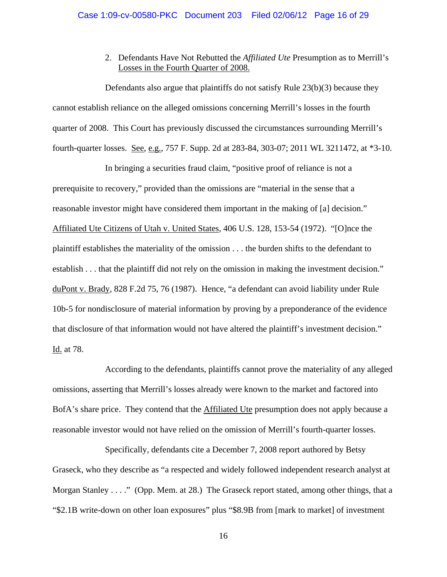# 2. Defendants Have Not Rebutted the *Affiliated Ute* Presumption as to Merrill's Losses in the Fourth Quarter of 2008.

Defendants also argue that plaintiffs do not satisfy Rule 23(b)(3) because they cannot establish reliance on the alleged omissions concerning Merrill's losses in the fourth quarter of 2008. This Court has previously discussed the circumstances surrounding Merrill's fourth-quarter losses. See, e.g., 757 F. Supp. 2d at 283-84, 303-07; 2011 WL 3211472, at \*3-10.

In bringing a securities fraud claim, "positive proof of reliance is not a prerequisite to recovery," provided than the omissions are "material in the sense that a reasonable investor might have considered them important in the making of [a] decision." Affiliated Ute Citizens of Utah v. United States, 406 U.S. 128, 153-54 (1972). "[O]nce the plaintiff establishes the materiality of the omission . . . the burden shifts to the defendant to establish . . . that the plaintiff did not rely on the omission in making the investment decision." duPont v. Brady, 828 F.2d 75, 76 (1987). Hence, "a defendant can avoid liability under Rule 10b-5 for nondisclosure of material information by proving by a preponderance of the evidence that disclosure of that information would not have altered the plaintiff's investment decision." Id. at 78.

According to the defendants, plaintiffs cannot prove the materiality of any alleged omissions, asserting that Merrill's losses already were known to the market and factored into BofA's share price. They contend that the Affiliated Ute presumption does not apply because a reasonable investor would not have relied on the omission of Merrill's fourth-quarter losses.

Specifically, defendants cite a December 7, 2008 report authored by Betsy Graseck, who they describe as "a respected and widely followed independent research analyst at Morgan Stanley . . . ." (Opp. Mem. at 28.) The Graseck report stated, among other things, that a "\$2.1B write-down on other loan exposures" plus "\$8.9B from [mark to market] of investment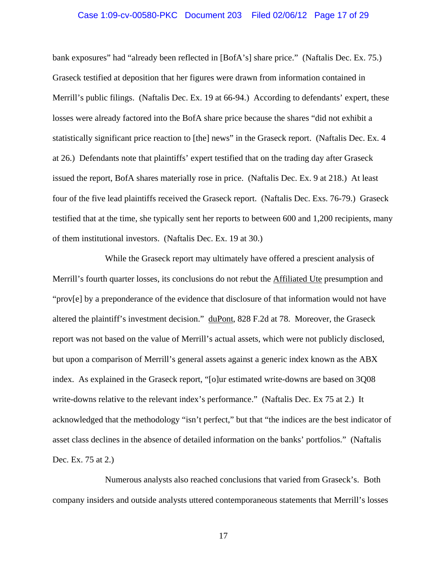## Case 1:09-cv-00580-PKC Document 203 Filed 02/06/12 Page 17 of 29

bank exposures" had "already been reflected in [BofA's] share price." (Naftalis Dec. Ex. 75.) Graseck testified at deposition that her figures were drawn from information contained in Merrill's public filings. (Naftalis Dec. Ex. 19 at 66-94.) According to defendants' expert, these losses were already factored into the BofA share price because the shares "did not exhibit a statistically significant price reaction to [the] news" in the Graseck report. (Naftalis Dec. Ex. 4 at 26.) Defendants note that plaintiffs' expert testified that on the trading day after Graseck issued the report, BofA shares materially rose in price. (Naftalis Dec. Ex. 9 at 218.) At least four of the five lead plaintiffs received the Graseck report. (Naftalis Dec. Exs. 76-79.) Graseck testified that at the time, she typically sent her reports to between 600 and 1,200 recipients, many of them institutional investors. (Naftalis Dec. Ex. 19 at 30.)

While the Graseck report may ultimately have offered a prescient analysis of Merrill's fourth quarter losses, its conclusions do not rebut the Affiliated Ute presumption and "prov[e] by a preponderance of the evidence that disclosure of that information would not have altered the plaintiff's investment decision." duPont, 828 F.2d at 78. Moreover, the Graseck report was not based on the value of Merrill's actual assets, which were not publicly disclosed, but upon a comparison of Merrill's general assets against a generic index known as the ABX index. As explained in the Graseck report, "[o]ur estimated write-downs are based on 3Q08 write-downs relative to the relevant index's performance." (Naftalis Dec. Ex 75 at 2.) It acknowledged that the methodology "isn't perfect," but that "the indices are the best indicator of asset class declines in the absence of detailed information on the banks' portfolios." (Naftalis Dec. Ex. 75 at 2.)

Numerous analysts also reached conclusions that varied from Graseck's. Both company insiders and outside analysts uttered contemporaneous statements that Merrill's losses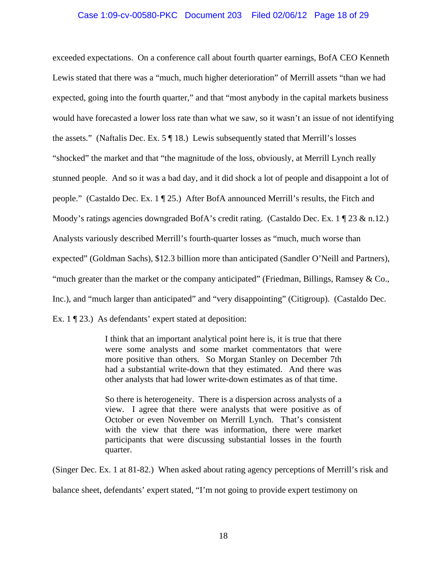# Case 1:09-cv-00580-PKC Document 203 Filed 02/06/12 Page 18 of 29

exceeded expectations. On a conference call about fourth quarter earnings, BofA CEO Kenneth Lewis stated that there was a "much, much higher deterioration" of Merrill assets "than we had expected, going into the fourth quarter," and that "most anybody in the capital markets business would have forecasted a lower loss rate than what we saw, so it wasn't an issue of not identifying the assets." (Naftalis Dec. Ex.  $5 \parallel 18$ .) Lewis subsequently stated that Merrill's losses "shocked" the market and that "the magnitude of the loss, obviously, at Merrill Lynch really stunned people. And so it was a bad day, and it did shock a lot of people and disappoint a lot of people." (Castaldo Dec. Ex. 1 ¶ 25.) After BofA announced Merrill's results, the Fitch and Moody's ratings agencies downgraded BofA's credit rating. (Castaldo Dec. Ex. 1 ¶ 23 & n.12.) Analysts variously described Merrill's fourth-quarter losses as "much, much worse than expected" (Goldman Sachs), \$12.3 billion more than anticipated (Sandler O'Neill and Partners), "much greater than the market or the company anticipated" (Friedman, Billings, Ramsey  $\& Co.,$ Inc.), and "much larger than anticipated" and "very disappointing" (Citigroup). (Castaldo Dec. Ex. 1 ¶ 23.) As defendants' expert stated at deposition:

> I think that an important analytical point here is, it is true that there were some analysts and some market commentators that were more positive than others. So Morgan Stanley on December 7th had a substantial write-down that they estimated. And there was other analysts that had lower write-down estimates as of that time.

> So there is heterogeneity. There is a dispersion across analysts of a view. I agree that there were analysts that were positive as of October or even November on Merrill Lynch. That's consistent with the view that there was information, there were market participants that were discussing substantial losses in the fourth quarter.

(Singer Dec. Ex. 1 at 81-82.) When asked about rating agency perceptions of Merrill's risk and

balance sheet, defendants' expert stated, "I'm not going to provide expert testimony on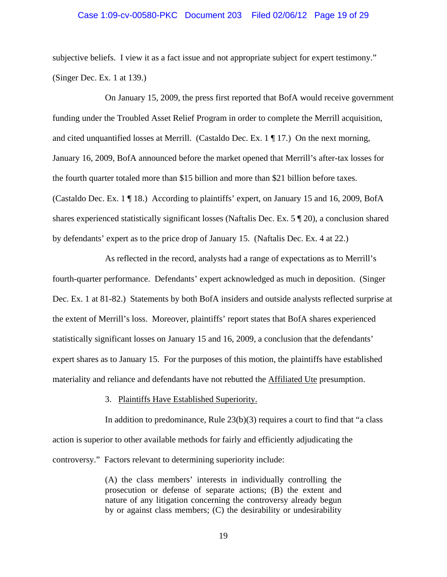## Case 1:09-cv-00580-PKC Document 203 Filed 02/06/12 Page 19 of 29

subjective beliefs. I view it as a fact issue and not appropriate subject for expert testimony." (Singer Dec. Ex. 1 at 139.)

On January 15, 2009, the press first reported that BofA would receive government funding under the Troubled Asset Relief Program in order to complete the Merrill acquisition, and cited unquantified losses at Merrill. (Castaldo Dec. Ex.  $1 \nparallel 17$ .) On the next morning, January 16, 2009, BofA announced before the market opened that Merrill's after-tax losses for the fourth quarter totaled more than \$15 billion and more than \$21 billion before taxes. (Castaldo Dec. Ex. 1 ¶ 18.) According to plaintiffs' expert, on January 15 and 16, 2009, BofA shares experienced statistically significant losses (Naftalis Dec. Ex. 5 ¶ 20), a conclusion shared by defendants' expert as to the price drop of January 15. (Naftalis Dec. Ex. 4 at 22.)

As reflected in the record, analysts had a range of expectations as to Merrill's fourth-quarter performance. Defendants' expert acknowledged as much in deposition. (Singer Dec. Ex. 1 at 81-82.) Statements by both BofA insiders and outside analysts reflected surprise at the extent of Merrill's loss. Moreover, plaintiffs' report states that BofA shares experienced statistically significant losses on January 15 and 16, 2009, a conclusion that the defendants' expert shares as to January 15. For the purposes of this motion, the plaintiffs have established materiality and reliance and defendants have not rebutted the Affiliated Ute presumption.

#### 3. Plaintiffs Have Established Superiority.

In addition to predominance, Rule  $23(b)(3)$  requires a court to find that "a class" action is superior to other available methods for fairly and efficiently adjudicating the controversy." Factors relevant to determining superiority include:

> (A) the class members' interests in individually controlling the prosecution or defense of separate actions; (B) the extent and nature of any litigation concerning the controversy already begun by or against class members; (C) the desirability or undesirability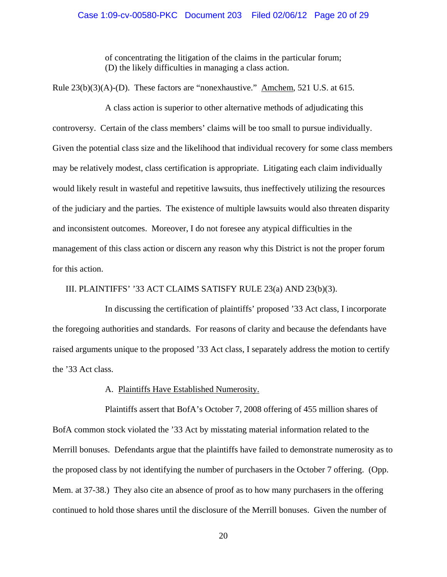of concentrating the litigation of the claims in the particular forum; (D) the likely difficulties in managing a class action.

Rule 23(b)(3)(A)-(D). These factors are "nonexhaustive." Amchem*,* 521 U.S. at 615.

A class action is superior to other alternative methods of adjudicating this controversy. Certain of the class members' claims will be too small to pursue individually. Given the potential class size and the likelihood that individual recovery for some class members may be relatively modest, class certification is appropriate. Litigating each claim individually would likely result in wasteful and repetitive lawsuits, thus ineffectively utilizing the resources of the judiciary and the parties. The existence of multiple lawsuits would also threaten disparity and inconsistent outcomes. Moreover, I do not foresee any atypical difficulties in the management of this class action or discern any reason why this District is not the proper forum for this action.

III. PLAINTIFFS' '33 ACT CLAIMS SATISFY RULE 23(a) AND 23(b)(3).

In discussing the certification of plaintiffs' proposed '33 Act class, I incorporate the foregoing authorities and standards. For reasons of clarity and because the defendants have raised arguments unique to the proposed '33 Act class, I separately address the motion to certify the '33 Act class.

## A. Plaintiffs Have Established Numerosity.

Plaintiffs assert that BofA's October 7, 2008 offering of 455 million shares of BofA common stock violated the '33 Act by misstating material information related to the Merrill bonuses. Defendants argue that the plaintiffs have failed to demonstrate numerosity as to the proposed class by not identifying the number of purchasers in the October 7 offering. (Opp. Mem. at 37-38.) They also cite an absence of proof as to how many purchasers in the offering continued to hold those shares until the disclosure of the Merrill bonuses. Given the number of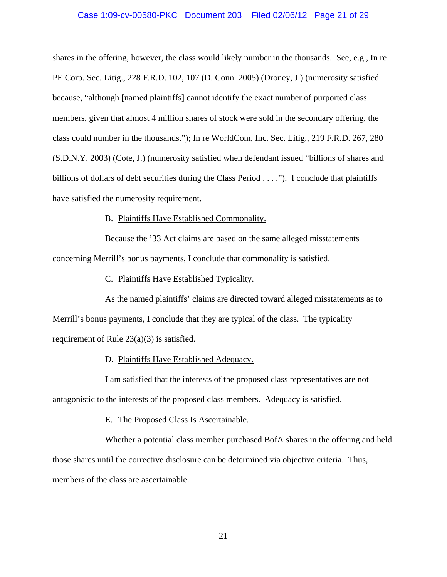## Case 1:09-cv-00580-PKC Document 203 Filed 02/06/12 Page 21 of 29

shares in the offering, however, the class would likely number in the thousands. See, e.g., In re PE Corp. Sec. Litig., 228 F.R.D. 102, 107 (D. Conn. 2005) (Droney, J.) (numerosity satisfied because, "although [named plaintiffs] cannot identify the exact number of purported class members, given that almost 4 million shares of stock were sold in the secondary offering, the class could number in the thousands."); In re WorldCom, Inc. Sec. Litig., 219 F.R.D. 267, 280 (S.D.N.Y. 2003) (Cote, J.) (numerosity satisfied when defendant issued "billions of shares and billions of dollars of debt securities during the Class Period . . . ."). I conclude that plaintiffs have satisfied the numerosity requirement.

## B. Plaintiffs Have Established Commonality.

Because the '33 Act claims are based on the same alleged misstatements concerning Merrill's bonus payments, I conclude that commonality is satisfied.

C. Plaintiffs Have Established Typicality.

As the named plaintiffs' claims are directed toward alleged misstatements as to Merrill's bonus payments, I conclude that they are typical of the class. The typicality requirement of Rule 23(a)(3) is satisfied.

## D. Plaintiffs Have Established Adequacy.

I am satisfied that the interests of the proposed class representatives are not antagonistic to the interests of the proposed class members. Adequacy is satisfied.

E. The Proposed Class Is Ascertainable.

Whether a potential class member purchased BofA shares in the offering and held those shares until the corrective disclosure can be determined via objective criteria. Thus, members of the class are ascertainable.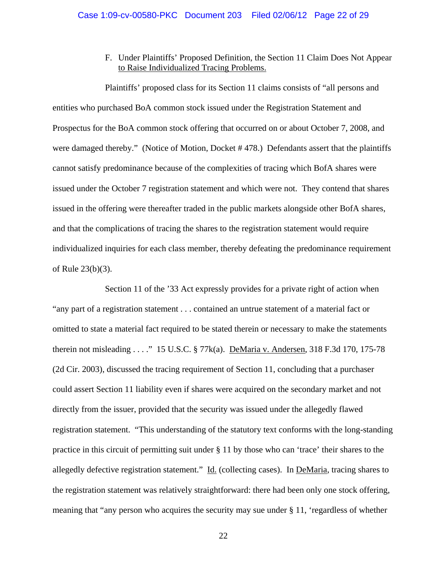F. Under Plaintiffs' Proposed Definition, the Section 11 Claim Does Not Appear to Raise Individualized Tracing Problems.

Plaintiffs' proposed class for its Section 11 claims consists of "all persons and entities who purchased BoA common stock issued under the Registration Statement and Prospectus for the BoA common stock offering that occurred on or about October 7, 2008, and were damaged thereby." (Notice of Motion, Docket # 478.) Defendants assert that the plaintiffs cannot satisfy predominance because of the complexities of tracing which BofA shares were issued under the October 7 registration statement and which were not. They contend that shares issued in the offering were thereafter traded in the public markets alongside other BofA shares, and that the complications of tracing the shares to the registration statement would require individualized inquiries for each class member, thereby defeating the predominance requirement of Rule 23(b)(3).

Section 11 of the '33 Act expressly provides for a private right of action when "any part of a registration statement . . . contained an untrue statement of a material fact or omitted to state a material fact required to be stated therein or necessary to make the statements therein not misleading . . . ." 15 U.S.C. § 77k(a). DeMaria v. Andersen, 318 F.3d 170, 175-78 (2d Cir. 2003), discussed the tracing requirement of Section 11, concluding that a purchaser could assert Section 11 liability even if shares were acquired on the secondary market and not directly from the issuer, provided that the security was issued under the allegedly flawed registration statement. "This understanding of the statutory text conforms with the long-standing practice in this circuit of permitting suit under § 11 by those who can 'trace' their shares to the allegedly defective registration statement." Id. (collecting cases). In DeMaria, tracing shares to the registration statement was relatively straightforward: there had been only one stock offering, meaning that "any person who acquires the security may sue under § 11, 'regardless of whether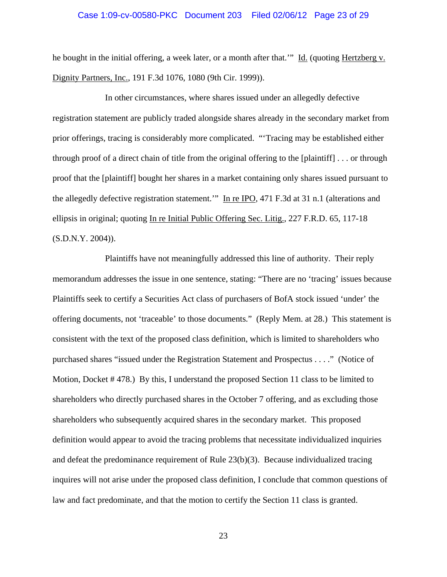## Case 1:09-cv-00580-PKC Document 203 Filed 02/06/12 Page 23 of 29

he bought in the initial offering, a week later, or a month after that." Id. (quoting Hertzberg v. Dignity Partners, Inc., 191 F.3d 1076, 1080 (9th Cir. 1999)).

In other circumstances, where shares issued under an allegedly defective registration statement are publicly traded alongside shares already in the secondary market from prior offerings, tracing is considerably more complicated. "'Tracing may be established either through proof of a direct chain of title from the original offering to the [plaintiff] . . . or through proof that the [plaintiff] bought her shares in a market containing only shares issued pursuant to the allegedly defective registration statement.'" In re IPO, 471 F.3d at 31 n.1 (alterations and ellipsis in original; quoting In re Initial Public Offering Sec. Litig., 227 F.R.D. 65, 117-18 (S.D.N.Y. 2004)).

Plaintiffs have not meaningfully addressed this line of authority. Their reply memorandum addresses the issue in one sentence, stating: "There are no 'tracing' issues because Plaintiffs seek to certify a Securities Act class of purchasers of BofA stock issued 'under' the offering documents, not 'traceable' to those documents." (Reply Mem. at 28.) This statement is consistent with the text of the proposed class definition, which is limited to shareholders who purchased shares "issued under the Registration Statement and Prospectus . . . ." (Notice of Motion, Docket # 478.) By this, I understand the proposed Section 11 class to be limited to shareholders who directly purchased shares in the October 7 offering, and as excluding those shareholders who subsequently acquired shares in the secondary market. This proposed definition would appear to avoid the tracing problems that necessitate individualized inquiries and defeat the predominance requirement of Rule 23(b)(3). Because individualized tracing inquires will not arise under the proposed class definition, I conclude that common questions of law and fact predominate, and that the motion to certify the Section 11 class is granted.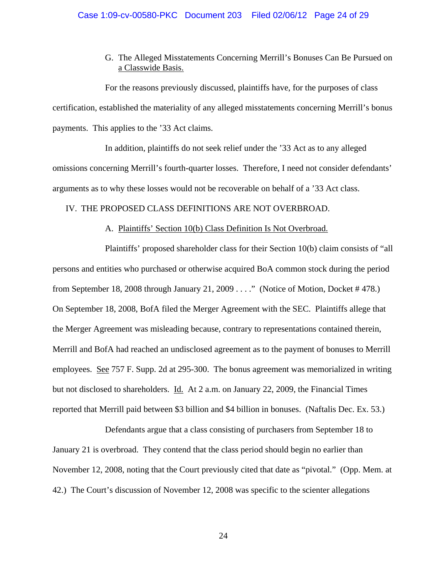G. The Alleged Misstatements Concerning Merrill's Bonuses Can Be Pursued on a Classwide Basis.

For the reasons previously discussed, plaintiffs have, for the purposes of class certification, established the materiality of any alleged misstatements concerning Merrill's bonus payments. This applies to the '33 Act claims.

In addition, plaintiffs do not seek relief under the '33 Act as to any alleged omissions concerning Merrill's fourth-quarter losses. Therefore, I need not consider defendants' arguments as to why these losses would not be recoverable on behalf of a '33 Act class.

# IV. THE PROPOSED CLASS DEFINITIONS ARE NOT OVERBROAD.

## A. Plaintiffs' Section 10(b) Class Definition Is Not Overbroad.

Plaintiffs' proposed shareholder class for their Section 10(b) claim consists of "all persons and entities who purchased or otherwise acquired BoA common stock during the period from September 18, 2008 through January 21, 2009 . . . ." (Notice of Motion, Docket # 478.) On September 18, 2008, BofA filed the Merger Agreement with the SEC. Plaintiffs allege that the Merger Agreement was misleading because, contrary to representations contained therein, Merrill and BofA had reached an undisclosed agreement as to the payment of bonuses to Merrill employees. See 757 F. Supp. 2d at 295-300. The bonus agreement was memorialized in writing but not disclosed to shareholders. Id. At 2 a.m. on January 22, 2009, the Financial Times reported that Merrill paid between \$3 billion and \$4 billion in bonuses. (Naftalis Dec. Ex. 53.)

Defendants argue that a class consisting of purchasers from September 18 to January 21 is overbroad. They contend that the class period should begin no earlier than November 12, 2008, noting that the Court previously cited that date as "pivotal." (Opp. Mem. at 42.) The Court's discussion of November 12, 2008 was specific to the scienter allegations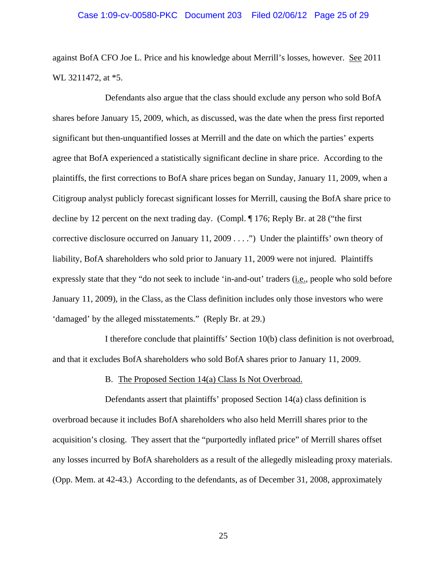against BofA CFO Joe L. Price and his knowledge about Merrill's losses, however. See 2011 WL 3211472, at \*5.

Defendants also argue that the class should exclude any person who sold BofA shares before January 15, 2009, which, as discussed, was the date when the press first reported significant but then-unquantified losses at Merrill and the date on which the parties' experts agree that BofA experienced a statistically significant decline in share price. According to the plaintiffs, the first corrections to BofA share prices began on Sunday, January 11, 2009, when a Citigroup analyst publicly forecast significant losses for Merrill, causing the BofA share price to decline by 12 percent on the next trading day. (Compl. ¶ 176; Reply Br. at 28 ("the first corrective disclosure occurred on January 11, 2009 . . . .") Under the plaintiffs' own theory of liability, BofA shareholders who sold prior to January 11, 2009 were not injured. Plaintiffs expressly state that they "do not seek to include 'in-and-out' traders (i.e., people who sold before January 11, 2009), in the Class, as the Class definition includes only those investors who were 'damaged' by the alleged misstatements." (Reply Br. at 29.)

I therefore conclude that plaintiffs' Section 10(b) class definition is not overbroad, and that it excludes BofA shareholders who sold BofA shares prior to January 11, 2009.

#### B. The Proposed Section 14(a) Class Is Not Overbroad.

Defendants assert that plaintiffs' proposed Section 14(a) class definition is overbroad because it includes BofA shareholders who also held Merrill shares prior to the acquisition's closing. They assert that the "purportedly inflated price" of Merrill shares offset any losses incurred by BofA shareholders as a result of the allegedly misleading proxy materials. (Opp. Mem. at 42-43.) According to the defendants, as of December 31, 2008, approximately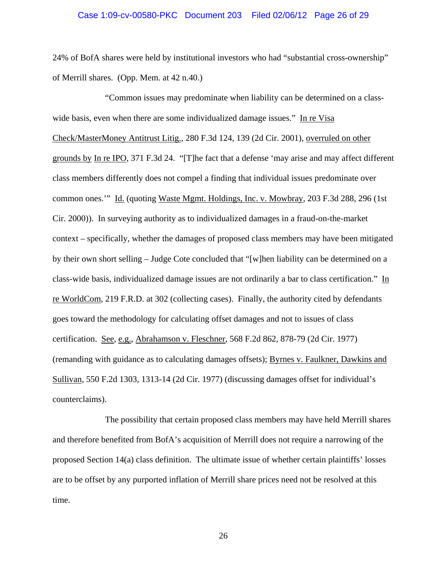## Case 1:09-cv-00580-PKC Document 203 Filed 02/06/12 Page 26 of 29

24% of BofA shares were held by institutional investors who had "substantial cross-ownership" of Merrill shares. (Opp. Mem. at 42 n.40.)

"Common issues may predominate when liability can be determined on a classwide basis, even when there are some individualized damage issues." In re Visa Check/MasterMoney Antitrust Litig., 280 F.3d 124, 139 (2d Cir. 2001), overruled on other grounds by In re IPO, 371 F.3d 24. "[T]he fact that a defense 'may arise and may affect different class members differently does not compel a finding that individual issues predominate over common ones.'" Id. (quoting Waste Mgmt. Holdings, Inc. v. Mowbray, 203 F.3d 288, 296 (1st Cir. 2000)). In surveying authority as to individualized damages in a fraud-on-the-market context – specifically, whether the damages of proposed class members may have been mitigated by their own short selling – Judge Cote concluded that "[w]hen liability can be determined on a class-wide basis, individualized damage issues are not ordinarily a bar to class certification." In re WorldCom, 219 F.R.D. at 302 (collecting cases). Finally, the authority cited by defendants goes toward the methodology for calculating offset damages and not to issues of class certification. See, e.g., Abrahamson v. Fleschner, 568 F.2d 862, 878-79 (2d Cir. 1977) (remanding with guidance as to calculating damages offsets); Byrnes v. Faulkner, Dawkins and Sullivan, 550 F.2d 1303, 1313-14 (2d Cir. 1977) (discussing damages offset for individual's counterclaims).

The possibility that certain proposed class members may have held Merrill shares and therefore benefited from BofA's acquisition of Merrill does not require a narrowing of the proposed Section 14(a) class definition. The ultimate issue of whether certain plaintiffs' losses are to be offset by any purported inflation of Merrill share prices need not be resolved at this time.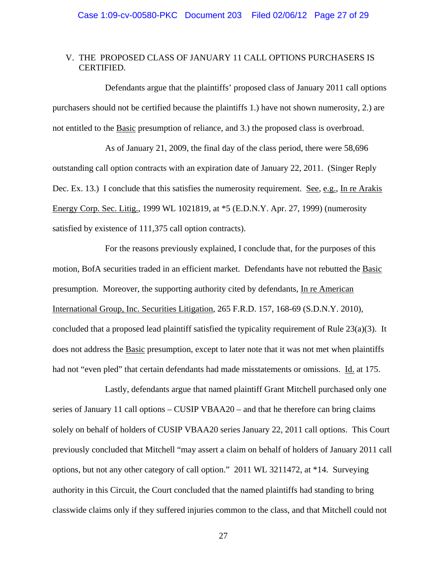# V. THE PROPOSED CLASS OF JANUARY 11 CALL OPTIONS PURCHASERS IS CERTIFIED.

Defendants argue that the plaintiffs' proposed class of January 2011 call options purchasers should not be certified because the plaintiffs 1.) have not shown numerosity, 2.) are not entitled to the Basic presumption of reliance, and 3.) the proposed class is overbroad.

As of January 21, 2009, the final day of the class period, there were 58,696 outstanding call option contracts with an expiration date of January 22, 2011. (Singer Reply Dec. Ex. 13.) I conclude that this satisfies the numerosity requirement. See, e.g., In re Arakis Energy Corp. Sec. Litig., 1999 WL 1021819, at \*5 (E.D.N.Y. Apr. 27, 1999) (numerosity satisfied by existence of 111,375 call option contracts).

For the reasons previously explained, I conclude that, for the purposes of this motion, BofA securities traded in an efficient market. Defendants have not rebutted the Basic presumption. Moreover, the supporting authority cited by defendants, In re American International Group, Inc. Securities Litigation, 265 F.R.D. 157, 168-69 (S.D.N.Y. 2010), concluded that a proposed lead plaintiff satisfied the typicality requirement of Rule 23(a)(3). It does not address the Basic presumption, except to later note that it was not met when plaintiffs had not "even pled" that certain defendants had made misstatements or omissions. Id. at 175.

Lastly, defendants argue that named plaintiff Grant Mitchell purchased only one series of January 11 call options – CUSIP VBAA20 – and that he therefore can bring claims solely on behalf of holders of CUSIP VBAA20 series January 22, 2011 call options. This Court previously concluded that Mitchell "may assert a claim on behalf of holders of January 2011 call options, but not any other category of call option." 2011 WL 3211472, at \*14. Surveying authority in this Circuit, the Court concluded that the named plaintiffs had standing to bring classwide claims only if they suffered injuries common to the class, and that Mitchell could not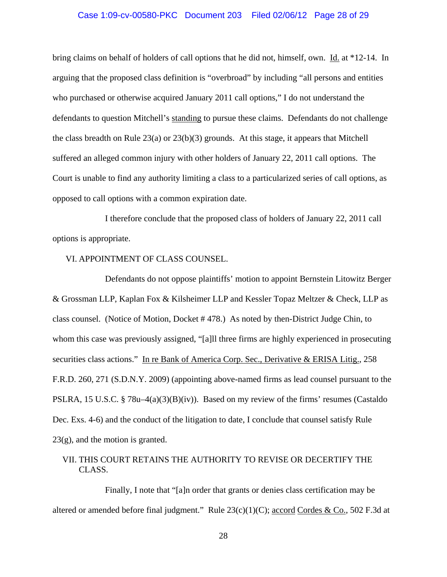## Case 1:09-cv-00580-PKC Document 203 Filed 02/06/12 Page 28 of 29

bring claims on behalf of holders of call options that he did not, himself, own. Id. at \*12-14. In arguing that the proposed class definition is "overbroad" by including "all persons and entities who purchased or otherwise acquired January 2011 call options," I do not understand the defendants to question Mitchell's standing to pursue these claims. Defendants do not challenge the class breadth on Rule  $23(a)$  or  $23(b)(3)$  grounds. At this stage, it appears that Mitchell suffered an alleged common injury with other holders of January 22, 2011 call options. The Court is unable to find any authority limiting a class to a particularized series of call options, as opposed to call options with a common expiration date.

I therefore conclude that the proposed class of holders of January 22, 2011 call options is appropriate.

## VI. APPOINTMENT OF CLASS COUNSEL.

Defendants do not oppose plaintiffs' motion to appoint Bernstein Litowitz Berger & Grossman LLP, Kaplan Fox & Kilsheimer LLP and Kessler Topaz Meltzer & Check, LLP as class counsel. (Notice of Motion, Docket # 478.) As noted by then-District Judge Chin, to whom this case was previously assigned, "[a]ll three firms are highly experienced in prosecuting securities class actions." In re Bank of America Corp. Sec., Derivative & ERISA Litig., 258 F.R.D. 260, 271 (S.D.N.Y. 2009) (appointing above-named firms as lead counsel pursuant to the PSLRA, 15 U.S.C. § 78u–4(a)(3)(B)(iv)). Based on my review of the firms' resumes (Castaldo Dec. Exs. 4-6) and the conduct of the litigation to date, I conclude that counsel satisfy Rule  $23(g)$ , and the motion is granted.

# VII. THIS COURT RETAINS THE AUTHORITY TO REVISE OR DECERTIFY THE CLASS.

Finally, I note that "[a]n order that grants or denies class certification may be altered or amended before final judgment." Rule  $23(c)(1)(C)$ ; accord Cordes & Co., 502 F.3d at